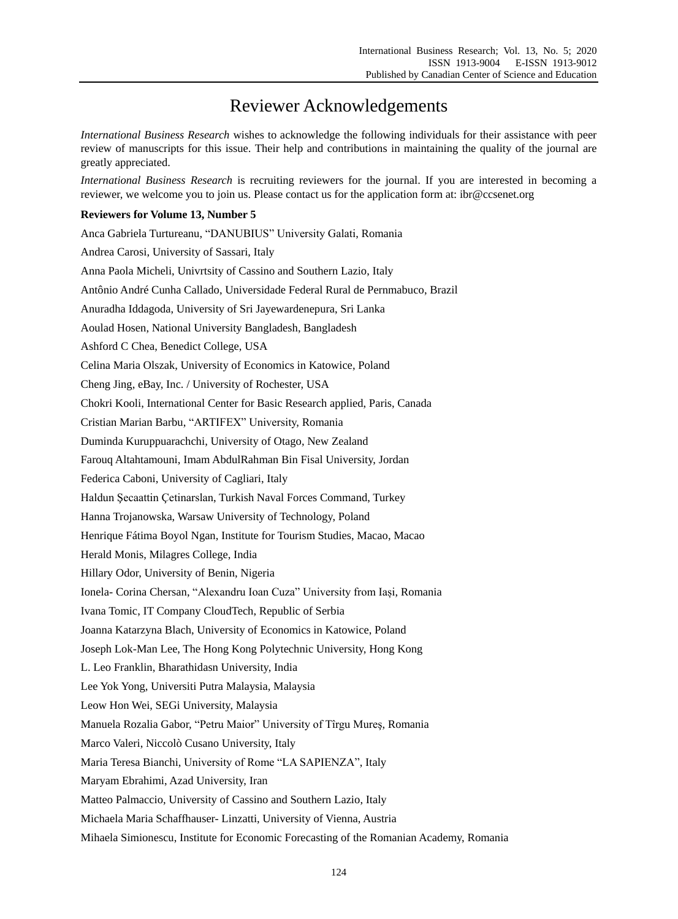## Reviewer Acknowledgements

*International Business Research* wishes to acknowledge the following individuals for their assistance with peer review of manuscripts for this issue. Their help and contributions in maintaining the quality of the journal are greatly appreciated.

*International Business Research* is recruiting reviewers for the journal. If you are interested in becoming a reviewer, we welcome you to join us. Please contact us for the application form at: ibr@ccsenet.org

## **Reviewers for Volume 13, Number 5**

Anca Gabriela Turtureanu, "DANUBIUS" University Galati, Romania Andrea Carosi, University of Sassari, Italy Anna Paola Micheli, Univrtsity of Cassino and Southern Lazio, Italy Antônio André Cunha Callado, Universidade Federal Rural de Pernmabuco, Brazil Anuradha Iddagoda, University of Sri Jayewardenepura, Sri Lanka Aoulad Hosen, National University Bangladesh, Bangladesh Ashford C Chea, Benedict College, USA Celina Maria Olszak, University of Economics in Katowice, Poland Cheng Jing, eBay, Inc. / University of Rochester, USA Chokri Kooli, International Center for Basic Research applied, Paris, Canada Cristian Marian Barbu, "ARTIFEX" University, Romania Duminda Kuruppuarachchi, University of Otago, New Zealand Farouq Altahtamouni, Imam AbdulRahman Bin Fisal University, Jordan Federica Caboni, University of Cagliari, Italy Haldun Şecaattin Çetinarslan, Turkish Naval Forces Command, Turkey Hanna Trojanowska, Warsaw University of Technology, Poland Henrique Fátima Boyol Ngan, Institute for Tourism Studies, Macao, Macao Herald Monis, Milagres College, India Hillary Odor, University of Benin, Nigeria Ionela- Corina Chersan, "Alexandru Ioan Cuza" University from Iași, Romania Ivana Tomic, IT Company CloudTech, Republic of Serbia Joanna Katarzyna Blach, University of Economics in Katowice, Poland Joseph Lok-Man Lee, The Hong Kong Polytechnic University, Hong Kong L. Leo Franklin, Bharathidasn University, India Lee Yok Yong, Universiti Putra Malaysia, Malaysia Leow Hon Wei, SEGi University, Malaysia Manuela Rozalia Gabor, "Petru Maior" University of Tîrgu Mureş, Romania Marco Valeri, Niccolò Cusano University, Italy Maria Teresa Bianchi, University of Rome "LA SAPIENZA", Italy Maryam Ebrahimi, Azad University, Iran Matteo Palmaccio, University of Cassino and Southern Lazio, Italy Michaela Maria Schaffhauser- Linzatti, University of Vienna, Austria Mihaela Simionescu, Institute for Economic Forecasting of the Romanian Academy, Romania